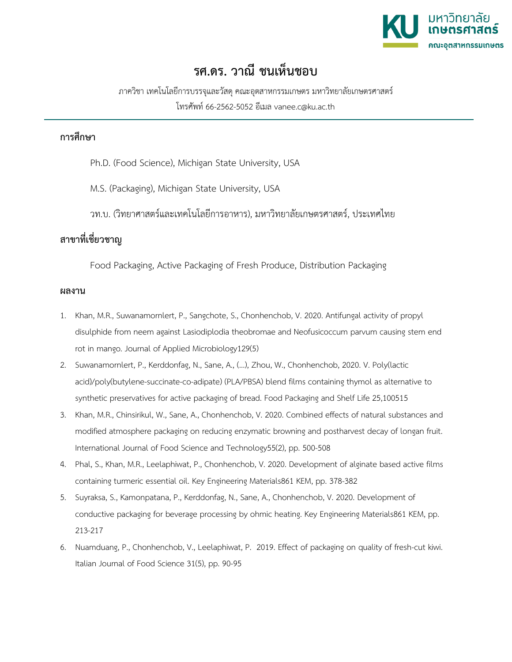

## **รศ.ดร. วาณี ชนเห็นชอบ**

ภาควิชา เทคโนโลยีการบรรจุและวัสดุคณะอุตสาหกรรมเกษตร มหาวิทยาลัยเกษตรศาสตร โทรศัพท 66-2562-5052 อีเมล vanee.c@ku.ac.th

## **การศึกษา**

Ph.D. (Food Science), Michigan State University, USA

M.S. (Packaging), Michigan State University, USA

วท.บ. (วิทยาศาสตรและเทคโนโลยีการอาหาร), มหาวิทยาลัยเกษตรศาสตร, ประเทศไทย

## **สาขาที่เชี่ยวชาญ**

Food Packaging, Active Packaging of Fresh Produce, Distribution Packaging

## **ผลงาน**

- 1. Khan, M.R., Suwanamornlert, P., Sangchote, S., Chonhenchob, V. 2020. Antifungal activity of propyl disulphide from neem against Lasiodiplodia theobromae and Neofusicoccum parvum causing stem end rot in mango. Journal of Applied Microbiology129(5)
- 2. Suwanamornlert, P., Kerddonfag, N., Sane, A., (...), Zhou, W., Chonhenchob, 2020. V. Poly(lactic acid)/poly(butylene-succinate-co-adipate) (PLA/PBSA) blend films containing thymol as alternative to synthetic preservatives for active packaging of bread. Food Packaging and Shelf Life 25,100515
- 3. Khan, M.R., Chinsirikul, W., Sane, A., Chonhenchob, V. 2020. Combined effects of natural substances and modified atmosphere packaging on reducing enzymatic browning and postharvest decay of longan fruit. International Journal of Food Science and Technology55(2), pp. 500-508
- 4. Phal, S., Khan, M.R., Leelaphiwat, P., Chonhenchob, V. 2020. Development of alginate based active films containing turmeric essential oil. Key Engineering Materials861 KEM, pp. 378-382
- 5. Suyraksa, S., Kamonpatana, P., Kerddonfag, N., Sane, A., Chonhenchob, V. 2020. Development of conductive packaging for beverage processing by ohmic heating. Key Engineering Materials861 KEM, pp. 213-217
- 6. Nuamduang, P., Chonhenchob, V., Leelaphiwat, P. 2019. Effect of packaging on quality of fresh-cut kiwi. Italian Journal of Food Science 31(5), pp. 90-95